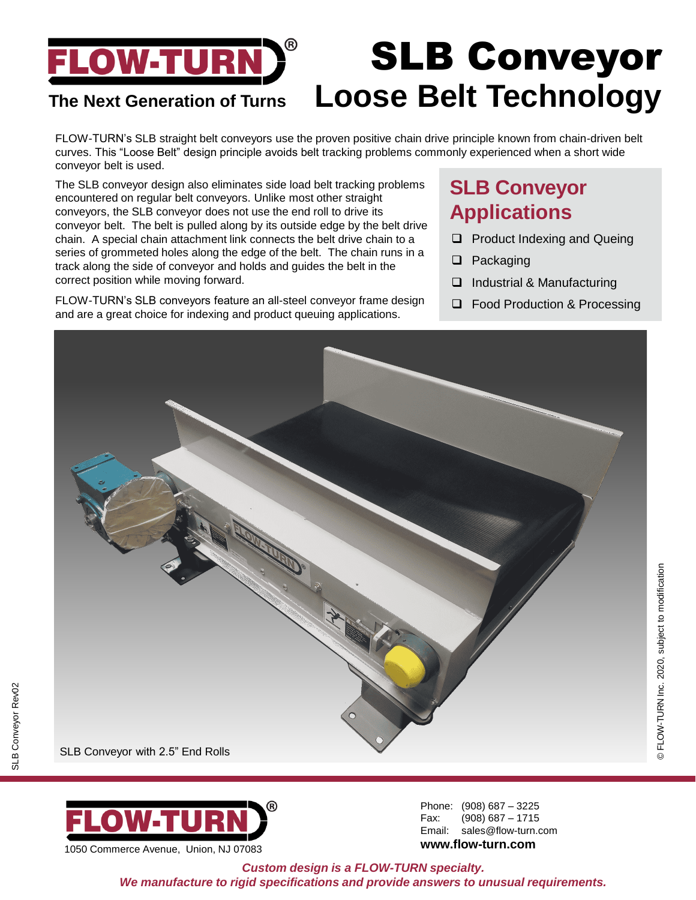

## SLB Conveyor **The Next Generation of Turns Loose Belt Technology**

FLOW-TURN's SLB straight belt conveyors use the proven positive chain drive principle known from chain-driven belt curves. This "Loose Belt" design principle avoids belt tracking problems commonly experienced when a short wide conveyor belt is used.

The SLB conveyor design also eliminates side load belt tracking problems encountered on regular belt conveyors. Unlike most other straight conveyors, the SLB conveyor does not use the end roll to drive its conveyor belt. The belt is pulled along by its outside edge by the belt drive chain. A special chain attachment link connects the belt drive chain to a series of grommeted holes along the edge of the belt. The chain runs in a track along the side of conveyor and holds and guides the belt in the correct position while moving forward.

FLOW-TURN's SLB conveyors feature an all-steel conveyor frame design and are a great choice for indexing and product queuing applications.

### **SLB Conveyor Applications**

- ❑ Product Indexing and Queing
- ❑ Packaging
- ❑ Industrial & Manufacturing
- ❑ Food Production & Processing





1050 Commerce Avenue, Union, NJ 07083

Phone: (908) 687 – 3225 Fax: (908) 687 – 1715 Email: sales@flow-turn.com **www.flow-turn.com**

*Custom design is a FLOW-TURN specialty. We manufacture to rigid specifications and provide answers to unusual requirements.*